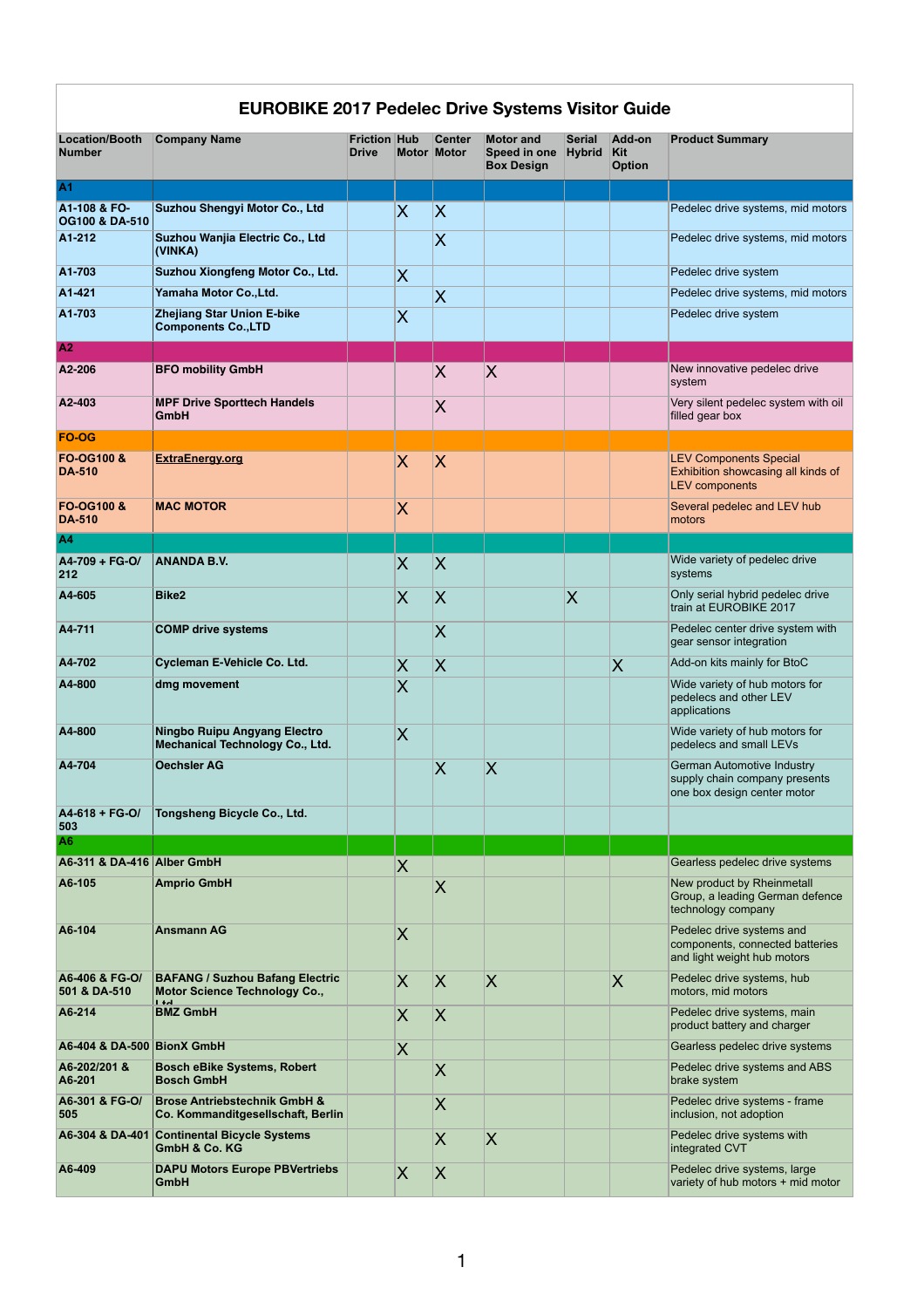| <b>EUROBIKE 2017 Pedelec Drive Systems Visitor Guide</b> |                                                                                           |                                     |                              |                                     |                                                              |                                |                                |                                                                                                   |  |  |  |
|----------------------------------------------------------|-------------------------------------------------------------------------------------------|-------------------------------------|------------------------------|-------------------------------------|--------------------------------------------------------------|--------------------------------|--------------------------------|---------------------------------------------------------------------------------------------------|--|--|--|
| <b>Location/Booth</b><br><b>Number</b>                   | <b>Company Name</b>                                                                       | <b>Friction Hub</b><br><b>Drive</b> |                              | <b>Center</b><br><b>Motor Motor</b> | <b>Motor and</b><br><b>Speed in one</b><br><b>Box Design</b> | <b>Serial</b><br><b>Hybrid</b> | Add-on<br>Kit<br><b>Option</b> | <b>Product Summary</b>                                                                            |  |  |  |
| <b>A1</b>                                                |                                                                                           |                                     |                              |                                     |                                                              |                                |                                |                                                                                                   |  |  |  |
| A1-108 & FO-<br><b>OG100 &amp; DA-510</b>                | Suzhou Shengyi Motor Co., Ltd                                                             |                                     | $\overline{\bm{\mathsf{X}}}$ | $ \mathsf{X} $                      |                                                              |                                |                                | Pedelec drive systems, mid motors                                                                 |  |  |  |
| A1-212                                                   | Suzhou Wanjia Electric Co., Ltd<br>(VINKA)                                                |                                     |                              | X                                   |                                                              |                                |                                | Pedelec drive systems, mid motors                                                                 |  |  |  |
| A1-703                                                   | Suzhou Xiongfeng Motor Co., Ltd.                                                          |                                     | $\overline{\bm{\mathsf{X}}}$ |                                     |                                                              |                                |                                | Pedelec drive system                                                                              |  |  |  |
| A1-421                                                   | Yamaha Motor Co., Ltd.                                                                    |                                     |                              | $ {\bm{\mathsf{X}}} $               |                                                              |                                |                                | Pedelec drive systems, mid motors                                                                 |  |  |  |
| A1-703                                                   | <b>Zhejiang Star Union E-bike</b><br><b>Components Co., LTD</b>                           |                                     | $\overline{\bm{\mathsf{X}}}$ |                                     |                                                              |                                |                                | Pedelec drive system                                                                              |  |  |  |
|                                                          |                                                                                           |                                     |                              |                                     |                                                              |                                |                                |                                                                                                   |  |  |  |
| $\overline{A2}$                                          |                                                                                           |                                     |                              |                                     |                                                              |                                |                                |                                                                                                   |  |  |  |
| A2-206                                                   | <b>BFO mobility GmbH</b>                                                                  |                                     |                              | $\mathsf{X}% _{0}$                  | $\overline{\mathsf{X}}$                                      |                                |                                | New innovative pedelec drive<br>system                                                            |  |  |  |
| A2-403                                                   | <b>MPF Drive Sporttech Handels</b><br><b>GmbH</b>                                         |                                     |                              | $\boldsymbol{\mathsf{X}}$           |                                                              |                                |                                | Very silent pedelec system with oil<br>filled gear box                                            |  |  |  |
| <b>FO-OG</b>                                             |                                                                                           |                                     |                              |                                     |                                                              |                                |                                |                                                                                                   |  |  |  |
| <b>FO-OG100 &amp;</b><br><b>DA-510</b>                   | <b>ExtraEnergy.org</b>                                                                    |                                     | $\overline{\mathsf{X}}$      | $\mathsf{X}% _{0}$                  |                                                              |                                |                                | <b>LEV Components Special</b><br>Exhibition showcasing all kinds of<br><b>LEV</b> components      |  |  |  |
| <b>FO-OG100 &amp;</b><br><b>DA-510</b>                   | <b>MAC MOTOR</b>                                                                          |                                     | $\overline{\mathsf{X}}$      |                                     |                                                              |                                |                                | Several pedelec and LEV hub<br>motors                                                             |  |  |  |
| <b>A4</b>                                                |                                                                                           |                                     |                              |                                     |                                                              |                                |                                |                                                                                                   |  |  |  |
| A4-709 + FG-O/<br>212                                    | <b>ANANDA B.V.</b>                                                                        |                                     | $\overline{\mathsf{X}}$      | <b>X</b>                            |                                                              |                                |                                | Wide variety of pedelec drive<br>systems                                                          |  |  |  |
| A4-605                                                   | <b>Bike2</b>                                                                              |                                     | X                            | $\mathsf{X}% _{0}$                  |                                                              | X                              |                                | Only serial hybrid pedelec drive<br>train at EUROBIKE 2017                                        |  |  |  |
| A4-711                                                   | <b>COMP drive systems</b>                                                                 |                                     |                              | IХ                                  |                                                              |                                |                                | Pedelec center drive system with<br>gear sensor integration                                       |  |  |  |
| A4-702                                                   | <b>Cycleman E-Vehicle Co. Ltd.</b>                                                        |                                     | $\overline{\mathsf{X}}$      | <b>X</b>                            |                                                              |                                | IХ                             | Add-on kits mainly for BtoC                                                                       |  |  |  |
| A4-800                                                   | dmg movement                                                                              |                                     | $\overline{\mathsf{X}}$      |                                     |                                                              |                                |                                | Wide variety of hub motors for<br>pedelecs and other LEV<br>applications                          |  |  |  |
| A4-800                                                   | Ningbo Ruipu Angyang Electro<br><b>Mechanical Technology Co., Ltd.</b>                    |                                     | IХ                           |                                     |                                                              |                                |                                | Wide variety of hub motors for<br>pedelecs and small LEVs                                         |  |  |  |
| A4-704                                                   | <b>Oechsler AG</b>                                                                        |                                     |                              | X                                   | $\overline{\mathsf{X}}$                                      |                                |                                | <b>German Automotive Industry</b><br>supply chain company presents<br>one box design center motor |  |  |  |
| A4-618 + FG-O/<br>503                                    | Tongsheng Bicycle Co., Ltd.                                                               |                                     |                              |                                     |                                                              |                                |                                |                                                                                                   |  |  |  |
| A <sub>6</sub>                                           |                                                                                           |                                     |                              |                                     |                                                              |                                |                                |                                                                                                   |  |  |  |
| A6-311 & DA-416 Alber GmbH                               |                                                                                           |                                     | $\overline{\mathsf{X}}$      |                                     |                                                              |                                |                                | Gearless pedelec drive systems                                                                    |  |  |  |
| A6-105                                                   | <b>Amprio GmbH</b>                                                                        |                                     |                              | $\overline{\sf X}$                  |                                                              |                                |                                | New product by Rheinmetall<br>Group, a leading German defence<br>technology company               |  |  |  |
| A6-104                                                   | <b>Ansmann AG</b>                                                                         |                                     | $\overline{\mathsf{X}}$      |                                     |                                                              |                                |                                | Pedelec drive systems and<br>components, connected batteries<br>and light weight hub motors       |  |  |  |
| A6-406 & FG-O/<br>501 & DA-510                           | <b>BAFANG / Suzhou Bafang Electric</b><br><b>Motor Science Technology Co.,</b><br>$1 + d$ |                                     | $\overline{\mathsf{X}}$      | $\mathsf{X}% _{0}$                  | $\overline{\mathsf{X}}$                                      |                                | $\overline{\mathsf{X}}$        | Pedelec drive systems, hub<br>motors, mid motors                                                  |  |  |  |
| A6-214                                                   | <b>BMZ GmbH</b>                                                                           |                                     | $\overline{\mathsf{X}}$      | $\boldsymbol{\mathsf{X}}$           |                                                              |                                |                                | Pedelec drive systems, main<br>product battery and charger                                        |  |  |  |
| A6-404 & DA-500 BionX GmbH                               |                                                                                           |                                     | $\overline{X}$               |                                     |                                                              |                                |                                | Gearless pedelec drive systems                                                                    |  |  |  |
| A6-202/201 &<br>A6-201                                   | <b>Bosch eBike Systems, Robert</b><br><b>Bosch GmbH</b>                                   |                                     |                              | $\sf X$                             |                                                              |                                |                                | Pedelec drive systems and ABS<br>brake system                                                     |  |  |  |
| A6-301 & FG-O/<br>505                                    | <b>Brose Antriebstechnik GmbH &amp;</b><br>Co. Kommanditgesellschaft, Berlin              |                                     |                              | $\sf X$                             |                                                              |                                |                                | Pedelec drive systems - frame<br>inclusion, not adoption                                          |  |  |  |
|                                                          | A6-304 & DA-401 Continental Bicycle Systems                                               |                                     |                              | X                                   | $\overline{\mathsf{X}}$                                      |                                |                                | Pedelec drive systems with                                                                        |  |  |  |
| A6-409                                                   | <b>GmbH &amp; Co. KG</b><br><b>DAPU Motors Europe PBVertriebs</b>                         |                                     |                              |                                     |                                                              |                                |                                | integrated CVT<br>Pedelec drive systems, large                                                    |  |  |  |
|                                                          | <b>GmbH</b>                                                                               |                                     | $\overline{\bm{\mathsf{X}}}$ | $\overline{\mathsf{X}}$             |                                                              |                                |                                | variety of hub motors + mid motor                                                                 |  |  |  |